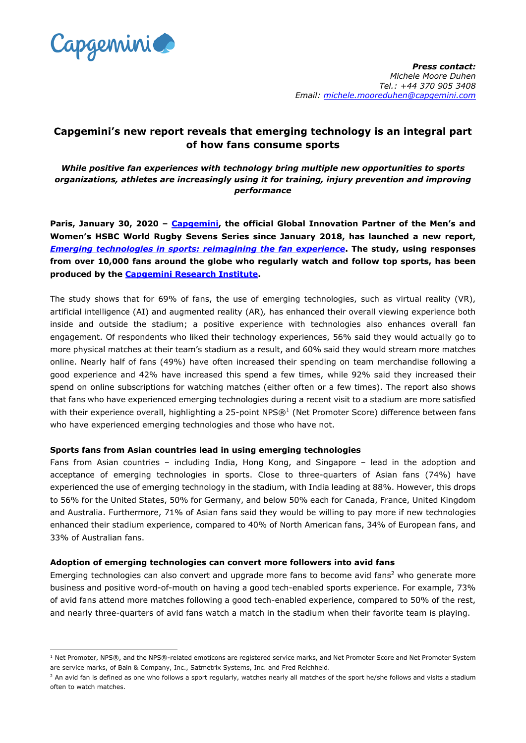

*Press contact: Michele Moore Duhen Tel.: +44 370 905 3408 Email: michele.mooreduhen@capgemini.com* 

# **Capgemini's new report reveals that emerging technology is an integral part of how fans consume sports**

*While positive fan experiences with technology bring multiple new opportunities to sports organizations, athletes are increasingly using it for training, injury prevention and improving performance*

**Paris, January 30, 2020 – [Capgemini,](https://www.capgemini.com/) the official Global Innovation Partner of the Men's and Women's HSBC World Rugby Sevens Series since January 2018, has launched a new report,** *Emerging [technologies](https://www.capgemini.com/research/tech-in-sports/?utm_source=pr&utm_medium=referral&utm_content=dcx_none_link_pressrelease_none&utm_campaign=cx_cri_emerging-tech-in-sport) in sports: reimagining the fan experience***. The study, using responses from over 10,000 fans around the globe who regularly watch and follow top sports, has been produced by the [Capgemini](https://www.capgemini.com/gb-en/research-institute/) Research Institute.**

The study shows that for 69% of fans, the use of emerging technologies, such as virtual reality (VR), artificial intelligence (AI) and augmented reality (AR)*,* has enhanced their overall viewing experience both inside and outside the stadium; a positive experience with technologies also enhances overall fan engagement. Of respondents who liked their technology experiences, 56% said they would actually go to more physical matches at their team's stadium as a result, and 60% said they would stream more matches online. Nearly half of fans (49%) have often increased their spending on team merchandise following a good experience and 42% have increased this spend a few times, while 92% said they increased their spend on online subscriptions for watching matches (either often or a few times). The report also shows that fans who have experienced emerging technologies during a recent visit to a stadium are more satisfied with their experience overall, highlighting a 25-point NPS®<sup>1</sup> (Net Promoter Score) difference between fans who have experienced emerging technologies and those who have not.

#### **Sports fans from Asian countries lead in using emerging technologies**

Fans from Asian countries – including India, Hong Kong, and Singapore – lead in the adoption and acceptance of emerging technologies in sports. Close to three-quarters of Asian fans (74%) have experienced the use of emerging technology in the stadium, with India leading at 88%. However, this drops to 56% for the United States, 50% for Germany, and below 50% each for Canada, France, United Kingdom and Australia. Furthermore, 71% of Asian fans said they would be willing to pay more if new technologies enhanced their stadium experience, compared to 40% of North American fans, 34% of European fans, and 33% of Australian fans.

#### **Adoption of emerging technologies can convert more followers into avid fans**

Emerging technologies can also convert and upgrade more fans to become avid fans<sup>2</sup> who generate more business and positive word-of-mouth on having a good tech-enabled sports experience. For example, 73% of avid fans attend more matches following a good tech-enabled experience, compared to 50% of the rest, and nearly three-quarters of avid fans watch a match in the stadium when their favorite team is playing.

<sup>&</sup>lt;sup>1</sup> Net Promoter, NPS®, and the NPS®-related emoticons are registered service marks, and Net Promoter Score and Net Promoter System are service marks, of Bain & Company, Inc., Satmetrix Systems, Inc. and Fred Reichheld.

<sup>&</sup>lt;sup>2</sup> An avid fan is defined as one who follows a sport regularly, watches nearly all matches of the sport he/she follows and visits a stadium often to watch matches.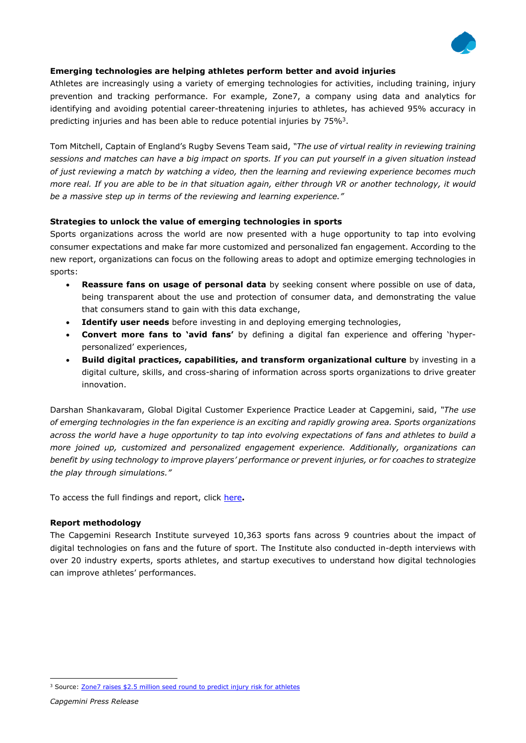

# **Emerging technologies are helping athletes perform better and avoid injuries**

Athletes are increasingly using a variety of emerging technologies for activities, including training, injury prevention and tracking performance. For example, Zone7, a company using data and analytics for identifying and avoiding potential career-threatening injuries to athletes, has achieved 95% accuracy in predicting injuries and has been able to reduce potential injuries by 75% $^3$ .

Tom Mitchell, Captain of England's Rugby Sevens Team said, *"The use of virtual reality in reviewing training* sessions and matches can have a big impact on sports. If you can put yourself in a given situation instead *of just reviewing a match by watching a video, then the learning and reviewing experience becomes much* more real. If you are able to be in that situation again, either through VR or another technology, it would *be a massive step up in terms of the reviewing and learning experience."*

### **Strategies to unlock the value of emerging technologies in sports**

Sports organizations across the world are now presented with a huge opportunity to tap into evolving consumer expectations and make far more customized and personalized fan engagement. According to the new report, organizations can focus on the following areas to adopt and optimize emerging technologies in sports:

- **Reassure fans on usage of personal data** by seeking consent where possible on use of data, being transparent about the use and protection of consumer data, and demonstrating the value that consumers stand to gain with this data exchange,
- **Identify user needs** before investing in and deploying emerging technologies,
- **Convert more fans to 'avid fans'** by defining a digital fan experience and offering 'hyperpersonalized' experiences,
- **Build digital practices, capabilities, and transform organizational culture** by investing in a digital culture, skills, and cross-sharing of information across sports organizations to drive greater innovation.

Darshan Shankavaram, Global Digital Customer Experience Practice Leader at Capgemini, said, *"The use of emerging technologies in the fan experience is an exciting and rapidly growing area. Sports organizations* across the world have a huge opportunity to tap into evolving expectations of fans and athletes to build a *more joined up, customized and personalized engagement experience. Additionally, organizations can benefit by using technology to improve players' performance or prevent injuries, or for coaches to strategize the play through simulations."*

To access the full findings and report, click [here](https://www.capgemini.com/research/tech-in-sports/?utm_source=pr&utm_medium=referral&utm_content=dcx_none_link_pressrelease_none&utm_campaign=cx_cri_emerging-tech-in-sport)**.**

## **Report methodology**

The Capgemini Research Institute surveyed 10,363 sports fans across 9 countries about the impact of digital technologies on fans and the future of sport. The Institute also conducted in-depth interviews with over 20 industry experts, sports athletes, and startup executives to understand how digital technologies can improve athletes' performances.

<sup>&</sup>lt;sup>3</sup> Source: **Zone7 raises \$2.5 million seed round to predict injury risk for [athletes](https://techcrunch.com/2019/02/26/zone-7-raises-2-5-million-seed-round-to-predict-injury-risk-for-athletes/)**